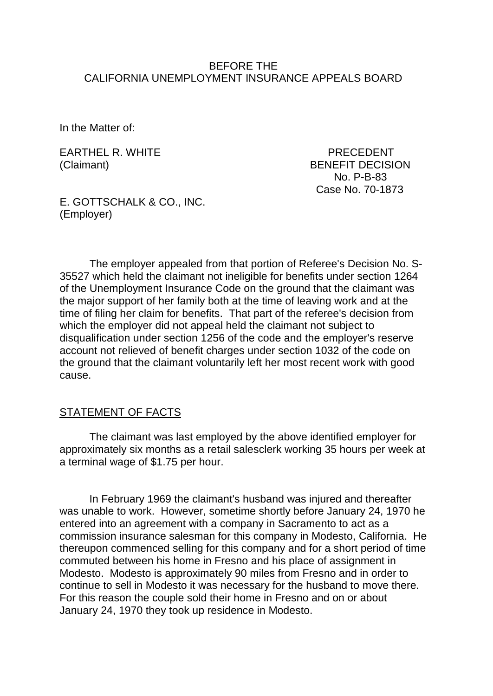#### BEFORE THE CALIFORNIA UNEMPLOYMENT INSURANCE APPEALS BOARD

In the Matter of:

EARTHEL R. WHITE PRECEDENT

(Claimant) BENEFIT DECISION No. P-B-83 Case No. 70-1873

E. GOTTSCHALK & CO., INC. (Employer)

The employer appealed from that portion of Referee's Decision No. S-35527 which held the claimant not ineligible for benefits under section 1264 of the Unemployment Insurance Code on the ground that the claimant was the major support of her family both at the time of leaving work and at the time of filing her claim for benefits. That part of the referee's decision from which the employer did not appeal held the claimant not subject to disqualification under section 1256 of the code and the employer's reserve account not relieved of benefit charges under section 1032 of the code on the ground that the claimant voluntarily left her most recent work with good cause.

#### STATEMENT OF FACTS

The claimant was last employed by the above identified employer for approximately six months as a retail salesclerk working 35 hours per week at a terminal wage of \$1.75 per hour.

In February 1969 the claimant's husband was injured and thereafter was unable to work. However, sometime shortly before January 24, 1970 he entered into an agreement with a company in Sacramento to act as a commission insurance salesman for this company in Modesto, California. He thereupon commenced selling for this company and for a short period of time commuted between his home in Fresno and his place of assignment in Modesto. Modesto is approximately 90 miles from Fresno and in order to continue to sell in Modesto it was necessary for the husband to move there. For this reason the couple sold their home in Fresno and on or about January 24, 1970 they took up residence in Modesto.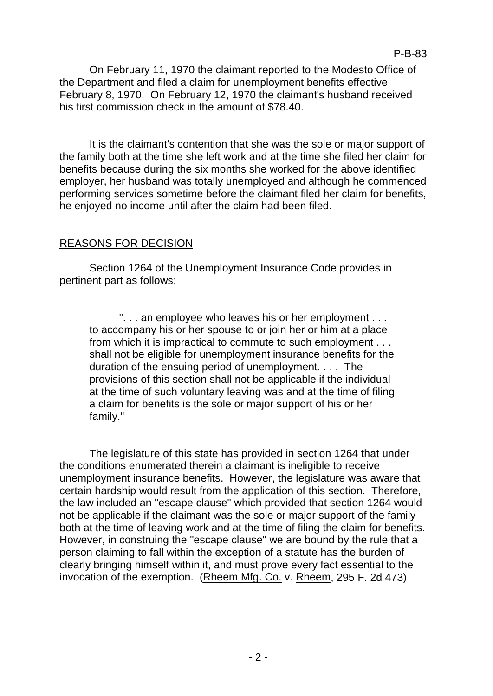It is the claimant's contention that she was the sole or major support of the family both at the time she left work and at the time she filed her claim for benefits because during the six months she worked for the above identified employer, her husband was totally unemployed and although he commenced performing services sometime before the claimant filed her claim for benefits, he enjoyed no income until after the claim had been filed.

# REASONS FOR DECISION

Section 1264 of the Unemployment Insurance Code provides in pertinent part as follows:

". . . an employee who leaves his or her employment . . . to accompany his or her spouse to or join her or him at a place from which it is impractical to commute to such employment . . . shall not be eligible for unemployment insurance benefits for the duration of the ensuing period of unemployment. . . . The provisions of this section shall not be applicable if the individual at the time of such voluntary leaving was and at the time of filing a claim for benefits is the sole or major support of his or her family."

The legislature of this state has provided in section 1264 that under the conditions enumerated therein a claimant is ineligible to receive unemployment insurance benefits. However, the legislature was aware that certain hardship would result from the application of this section. Therefore, the law included an "escape clause" which provided that section 1264 would not be applicable if the claimant was the sole or major support of the family both at the time of leaving work and at the time of filing the claim for benefits. However, in construing the "escape clause" we are bound by the rule that a person claiming to fall within the exception of a statute has the burden of clearly bringing himself within it, and must prove every fact essential to the invocation of the exemption. (Rheem Mfg. Co. v. Rheem, 295 F. 2d 473)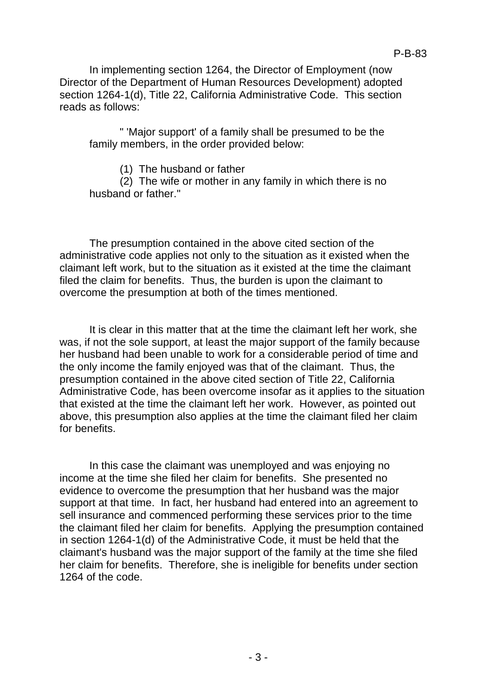In implementing section 1264, the Director of Employment (now Director of the Department of Human Resources Development) adopted section 1264-1(d), Title 22, California Administrative Code. This section reads as follows:

" 'Major support' of a family shall be presumed to be the family members, in the order provided below:

(1) The husband or father

(2) The wife or mother in any family in which there is no husband or father."

The presumption contained in the above cited section of the administrative code applies not only to the situation as it existed when the claimant left work, but to the situation as it existed at the time the claimant filed the claim for benefits. Thus, the burden is upon the claimant to overcome the presumption at both of the times mentioned.

It is clear in this matter that at the time the claimant left her work, she was, if not the sole support, at least the major support of the family because her husband had been unable to work for a considerable period of time and the only income the family enjoyed was that of the claimant. Thus, the presumption contained in the above cited section of Title 22, California Administrative Code, has been overcome insofar as it applies to the situation that existed at the time the claimant left her work. However, as pointed out above, this presumption also applies at the time the claimant filed her claim for benefits.

In this case the claimant was unemployed and was enjoying no income at the time she filed her claim for benefits. She presented no evidence to overcome the presumption that her husband was the major support at that time. In fact, her husband had entered into an agreement to sell insurance and commenced performing these services prior to the time the claimant filed her claim for benefits. Applying the presumption contained in section 1264-1(d) of the Administrative Code, it must be held that the claimant's husband was the major support of the family at the time she filed her claim for benefits. Therefore, she is ineligible for benefits under section 1264 of the code.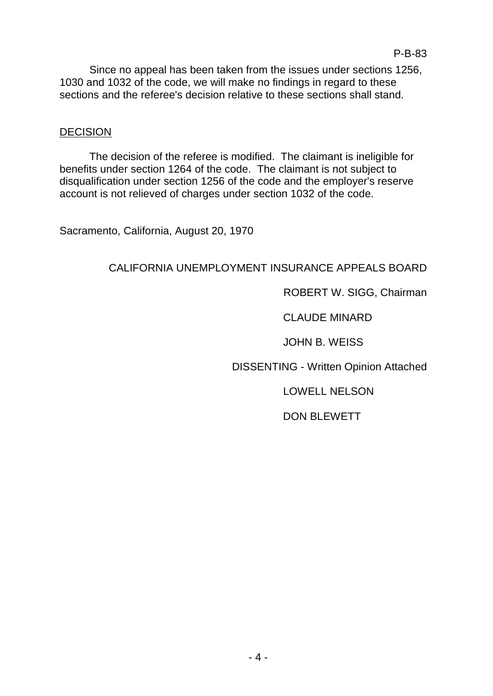Since no appeal has been taken from the issues under sections 1256, 1030 and 1032 of the code, we will make no findings in regard to these sections and the referee's decision relative to these sections shall stand.

## **DECISION**

The decision of the referee is modified. The claimant is ineligible for benefits under section 1264 of the code. The claimant is not subject to disqualification under section 1256 of the code and the employer's reserve account is not relieved of charges under section 1032 of the code.

Sacramento, California, August 20, 1970

## CALIFORNIA UNEMPLOYMENT INSURANCE APPEALS BOARD

ROBERT W. SIGG, Chairman

CLAUDE MINARD

JOHN B. WEISS

DISSENTING - Written Opinion Attached

LOWELL NELSON

DON BLEWETT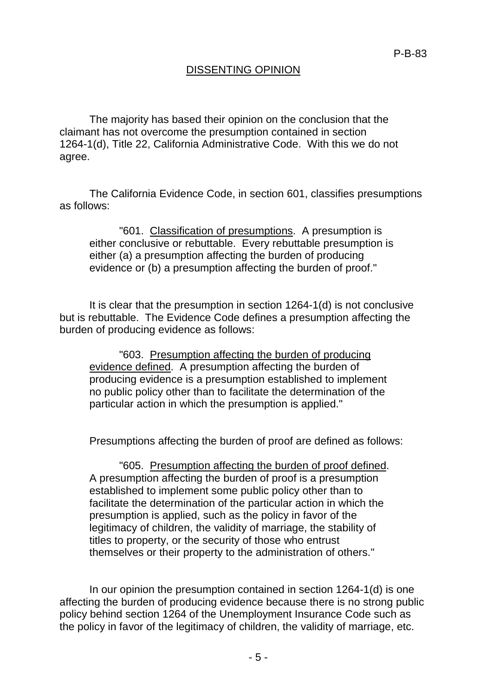#### DISSENTING OPINION

The majority has based their opinion on the conclusion that the claimant has not overcome the presumption contained in section 1264-1(d), Title 22, California Administrative Code. With this we do not agree.

The California Evidence Code, in section 601, classifies presumptions as follows:

"601. Classification of presumptions. A presumption is either conclusive or rebuttable. Every rebuttable presumption is either (a) a presumption affecting the burden of producing evidence or (b) a presumption affecting the burden of proof."

It is clear that the presumption in section 1264-1(d) is not conclusive but is rebuttable. The Evidence Code defines a presumption affecting the burden of producing evidence as follows:

"603. Presumption affecting the burden of producing evidence defined. A presumption affecting the burden of producing evidence is a presumption established to implement no public policy other than to facilitate the determination of the particular action in which the presumption is applied."

Presumptions affecting the burden of proof are defined as follows:

"605. Presumption affecting the burden of proof defined. A presumption affecting the burden of proof is a presumption established to implement some public policy other than to facilitate the determination of the particular action in which the presumption is applied, such as the policy in favor of the legitimacy of children, the validity of marriage, the stability of titles to property, or the security of those who entrust themselves or their property to the administration of others."

In our opinion the presumption contained in section 1264-1(d) is one affecting the burden of producing evidence because there is no strong public policy behind section 1264 of the Unemployment Insurance Code such as the policy in favor of the legitimacy of children, the validity of marriage, etc.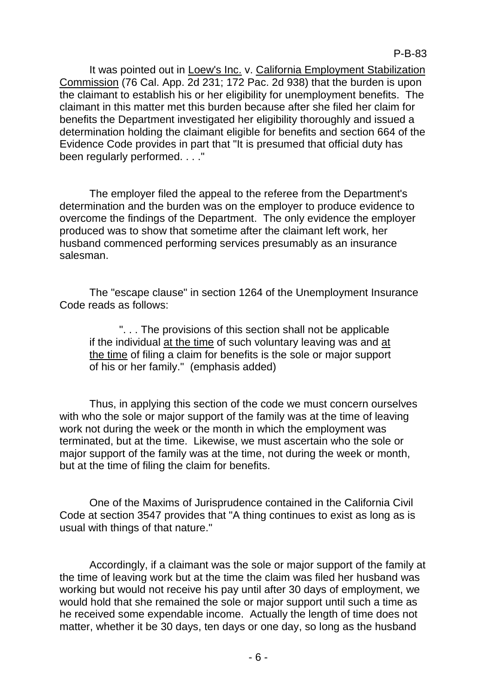It was pointed out in Loew's Inc. v. California Employment Stabilization Commission (76 Cal. App. 2d 231; 172 Pac. 2d 938) that the burden is upon the claimant to establish his or her eligibility for unemployment benefits. The claimant in this matter met this burden because after she filed her claim for benefits the Department investigated her eligibility thoroughly and issued a determination holding the claimant eligible for benefits and section 664 of the Evidence Code provides in part that "It is presumed that official duty has been regularly performed. . . ."

The employer filed the appeal to the referee from the Department's determination and the burden was on the employer to produce evidence to overcome the findings of the Department. The only evidence the employer produced was to show that sometime after the claimant left work, her husband commenced performing services presumably as an insurance salesman.

The "escape clause" in section 1264 of the Unemployment Insurance Code reads as follows:

". . . The provisions of this section shall not be applicable if the individual at the time of such voluntary leaving was and at the time of filing a claim for benefits is the sole or major support of his or her family." (emphasis added)

Thus, in applying this section of the code we must concern ourselves with who the sole or major support of the family was at the time of leaving work not during the week or the month in which the employment was terminated, but at the time. Likewise, we must ascertain who the sole or major support of the family was at the time, not during the week or month, but at the time of filing the claim for benefits.

One of the Maxims of Jurisprudence contained in the California Civil Code at section 3547 provides that "A thing continues to exist as long as is usual with things of that nature."

Accordingly, if a claimant was the sole or major support of the family at the time of leaving work but at the time the claim was filed her husband was working but would not receive his pay until after 30 days of employment, we would hold that she remained the sole or major support until such a time as he received some expendable income. Actually the length of time does not matter, whether it be 30 days, ten days or one day, so long as the husband